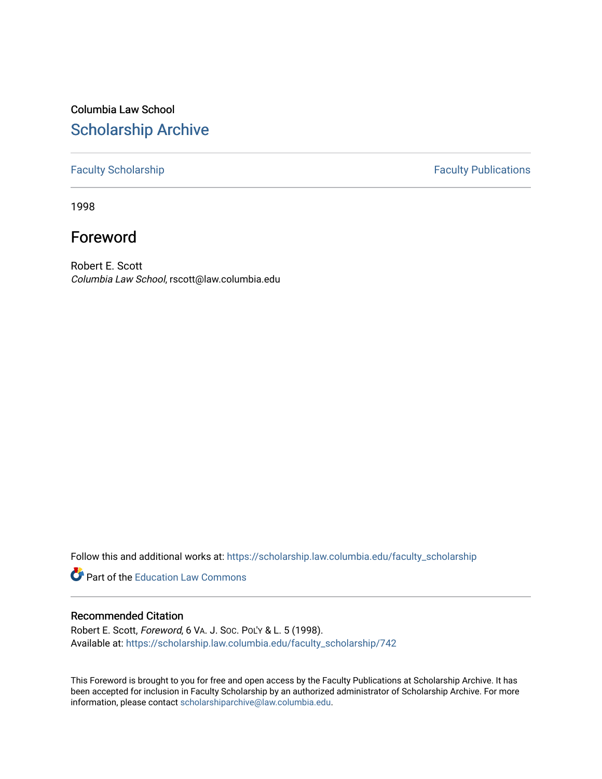# Columbia Law School [Scholarship Archive](https://scholarship.law.columbia.edu/)

### [Faculty Scholarship](https://scholarship.law.columbia.edu/faculty_scholarship) **Faculty Publications**

1998

# Foreword

Robert E. Scott Columbia Law School, rscott@law.columbia.edu

Follow this and additional works at: [https://scholarship.law.columbia.edu/faculty\\_scholarship](https://scholarship.law.columbia.edu/faculty_scholarship?utm_source=scholarship.law.columbia.edu%2Ffaculty_scholarship%2F742&utm_medium=PDF&utm_campaign=PDFCoverPages)

**Part of the Education Law Commons** 

### Recommended Citation

Robert E. Scott, Foreword, 6 VA. J. SOC. POL'Y & L. 5 (1998). Available at: [https://scholarship.law.columbia.edu/faculty\\_scholarship/742](https://scholarship.law.columbia.edu/faculty_scholarship/742?utm_source=scholarship.law.columbia.edu%2Ffaculty_scholarship%2F742&utm_medium=PDF&utm_campaign=PDFCoverPages) 

This Foreword is brought to you for free and open access by the Faculty Publications at Scholarship Archive. It has been accepted for inclusion in Faculty Scholarship by an authorized administrator of Scholarship Archive. For more information, please contact [scholarshiparchive@law.columbia.edu.](mailto:scholarshiparchive@law.columbia.edu)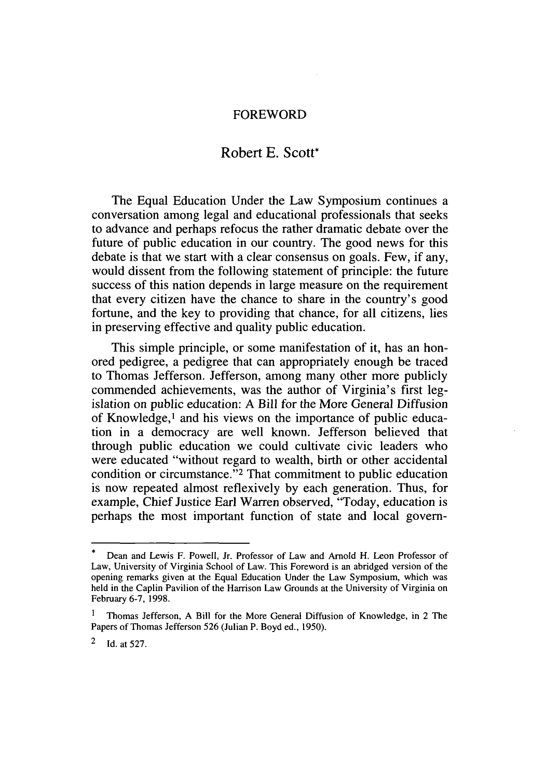#### FOREWORD

## Robert **E. Scott\***

The Equal Education Under the Law Symposium continues a conversation among legal and educational professionals that seeks to advance and perhaps refocus the rather dramatic debate over the future of public education in our country. The good news for this debate is that we start with a clear consensus on goals. Few, if any, would dissent from the following statement of principle: the future success of this nation depends in large measure on the requirement that every citizen have the chance to share in the country's good fortune, and the key to providing that chance, for all citizens, lies in preserving effective and quality public education.

This simple principle, or some manifestation of it, has an honored pedigree, a pedigree that can appropriately enough be traced to Thomas Jefferson. Jefferson, among many other more publicly commended achievements, was the author of Virginia's first legislation on public education: A Bill for the More General Diffusion of Knowledge,<sup>1</sup> and his views on the importance of public education in a democracy are well known. Jefferson believed that through public education we could cultivate civic leaders who were educated "without regard to wealth, birth or other accidental condition or circumstance."<sup>2</sup> That commitment to public education is now repeated almost reflexively by each generation. Thus, for example, Chief Justice Earl Warren observed, "Today, education is perhaps the most important function of state and local govern-

Dean and Lewis F. Powell, Jr. Professor of Law and Arnold H. Leon Professor of Law, University of Virginia School of Law. This Foreword is an abridged version of the opening remarks given at the Equal Education Under the Law Symposium, which was held in the Caplin Pavilion of the Harrison Law Grounds at the University of Virginia on February 6-7, 1998.

**<sup>1</sup>** Thomas Jefferson, A Bill for the More General Diffusion of Knowledge, in 2 The Papers of Thomas Jefferson 526 (Julian P. Boyd ed., 1950).

<sup>2</sup> Id. at 527.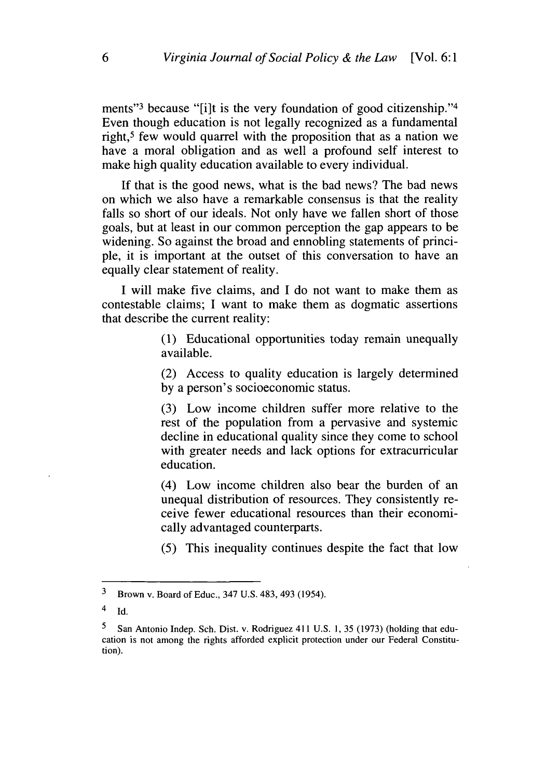ments"<sup>3</sup> because "[i]t is the very foundation of good citizenship."<sup>4</sup> Even though education is not legally recognized as a fundamental right,<sup>5</sup> few would quarrel with the proposition that as a nation we have a moral obligation and as well a profound self interest to make high quality education available to every individual.

If that is the good news, what is the bad news? The bad news on which we also have a remarkable consensus is that the reality falls so short of our ideals. Not only have we fallen short of those goals, but at least in our common perception the gap appears to be widening. So against the broad and ennobling statements of principle, it is important at the outset of this conversation to have an equally clear statement of reality.

I will make five claims, and I do not want to make them as contestable claims; I want to make them as dogmatic assertions that describe the current reality:

> (1) Educational opportunities today remain unequally available.

> (2) Access to quality education is largely determined by a person's socioeconomic status.

> (3) Low income children suffer more relative to the rest of the population from a pervasive and systemic decline in educational quality since they come to school with greater needs and lack options for extracurricular education.

> (4) Low income children also bear the burden of an unequal distribution of resources. They consistently receive fewer educational resources than their economically advantaged counterparts.

> (5) This inequality continues despite the fact that low

**<sup>3</sup>** Brown v. Board of Educ., 347 U.S. 483, 493 (1954).

 $4$  Id.

**<sup>5</sup>** San Antonio Indep. Sch. Dist. v. Rodriguez 411 U.S. 1, 35 (1973) (holding that education is not among the rights afforded explicit protection under our Federal Constitution).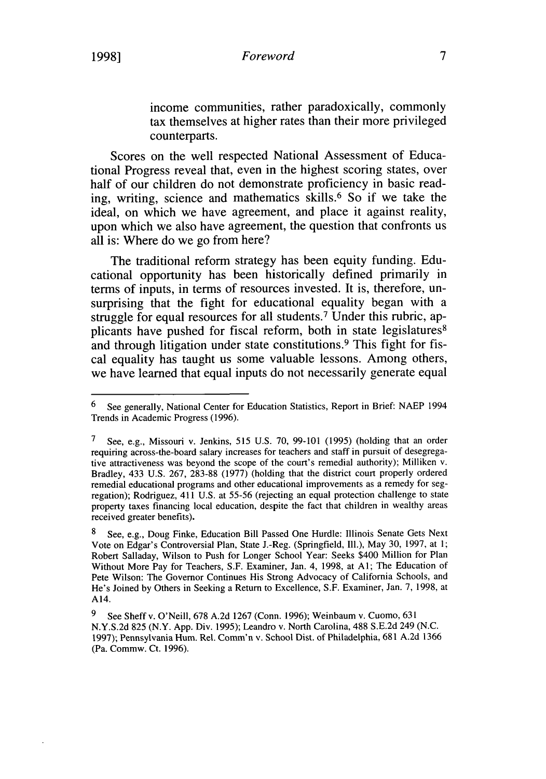income communities, rather paradoxically, commonly tax themselves at higher rates than their more privileged counterparts.

Scores on the well respected National Assessment of Educational Progress reveal that, even in the highest scoring states, over half of our children do not demonstrate proficiency in basic reading, writing, science and mathematics skills.6 So if we take the ideal, on which we have agreement, and place it against reality, upon which we also have agreement, the question that confronts us all is: Where do we go from here?

The traditional reform strategy has been equity funding. Educational opportunity has been historically defined primarily in terms of inputs, in terms of resources invested. It is, therefore, unsurprising that the fight for educational equality began with a struggle for equal resources for all students.<sup>7</sup> Under this rubric, applicants have pushed for fiscal reform, both in state legislatures<sup>8</sup> and through litigation under state constitutions.<sup>9</sup> This fight for fiscal equality has taught us some valuable lessons. Among others, we have learned that equal inputs do not necessarily generate equal

<sup>6</sup> See generally, National Center for Education Statistics, Report in Brief: NAEP 1994 Trends in Academic Progress (1996).

**<sup>7</sup>** See, e.g., Missouri v. Jenkins, 515 U.S. 70, 99-101 (1995) (holding that an order requiring across-the-board salary increases for teachers and staff in pursuit of desegregative attractiveness was beyond the scope of the court's remedial authority); Milliken v. Bradley, 433 U.S. 267, 283-88 (1977) (holding that the district court properly ordered remedial educational programs and other educational improvements as a remedy for segregation); Rodriguez, 411 U.S. at 55-56 (rejecting an equal protection challenge to state property taxes financing local education, despite the fact that children in wealthy areas received greater benefits).

<sup>8</sup> See, e.g., Doug Finke, Education Bill Passed One Hurdle: Illinois Senate Gets Next Vote on Edgar's Controversial Plan, State J.-Reg. (Springfield, Ill.), May 30, 1997, at 1; Robert Salladay, Wilson to Push for Longer School Year: Seeks \$400 Million for Plan Without More Pay for Teachers, S.F. Examiner, Jan. 4, 1998, at **Al;** The Education of Pete Wilson: The Governor Continues His Strong Advocacy of California Schools, and He's Joined by Others in Seeking a Return to Excellence, S.F. Examiner, Jan. 7, 1998, at A14.

**<sup>9</sup>** See Sheffv. O'Neill, 678 A.2d 1267 (Conn. 1996); Weinbaum v. Cuomo, 631 N.Y.S.2d 825 (N.Y. App. Div. 1995); Leandro v. North Carolina, 488 S.E.2d 249 (N.C. 1997); Pennsylvania Hum. Rel. Comm'n v. School Dist. of Philadelphia, 681 A.2d 1366 (Pa. Commw. Ct. 1996).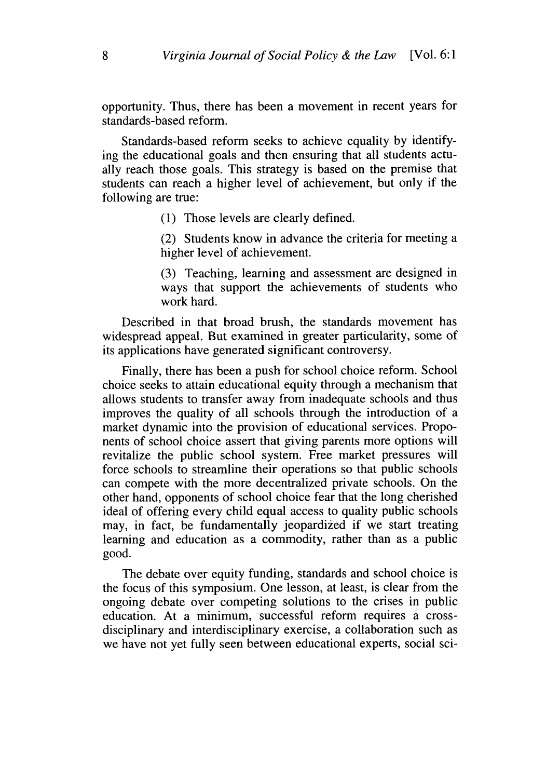opportunity. Thus, there has been a movement in recent years for standards-based reform.

Standards-based reform seeks to achieve equality by identifying the educational goals and then ensuring that all students actually reach those goals. This strategy is based on the premise that students can reach a higher level of achievement, but only if the following are true:

(1) Those levels are clearly defined.

(2) Students know in advance the criteria for meeting a higher level of achievement.

(3) Teaching, learning and assessment are designed in ways that support the achievements of students who work hard.

Described in that broad brush, the standards movement has widespread appeal. But examined in greater particularity, some of its applications have generated significant controversy.

Finally, there has been a push for school choice reform. School choice seeks to attain educational equity through a mechanism that allows students to transfer away from inadequate schools and thus improves the quality of all schools through the introduction of a market dynamic into the provision of educational services. Proponents of school choice assert that giving parents more options will revitalize the public school system. Free market pressures will force schools to streamline their operations so that public schools can compete with the more decentralized private schools. On the other hand, opponents of school choice fear that the long cherished ideal of offering every child equal access to quality public schools may, in fact, be fundamentally jeopardized if we start treating learning and education as a commodity, rather than as a public good.

The debate over equity funding, standards and school choice is the focus of this symposium. One lesson, at least, is clear from the ongoing debate over competing solutions to the crises in public education. At a minimum, successful reform requires a crossdisciplinary and interdisciplinary exercise, a collaboration such as we have not yet fully seen between educational experts, social sci-